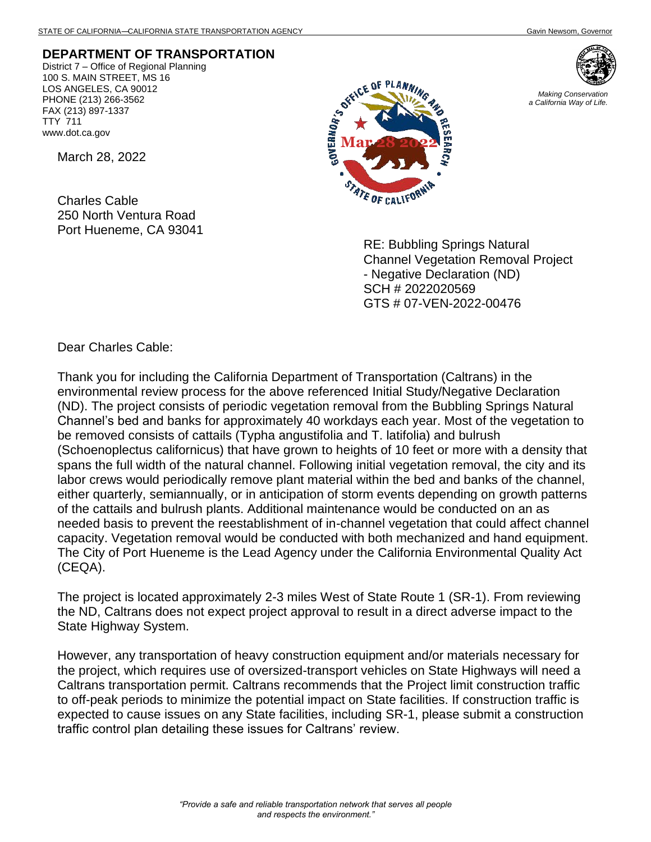## **DEPARTMENT OF TRANSPORTATION**

District 7 – Office of Regional Planning 100 S. MAIN STREET, MS 16 LOS ANGELES, CA 90012 PHONE (213) 266-3562 FAX (213) 897-1337 TTY 711 www.dot.ca.gov

March 28, 2022

Charles Cable 250 North Ventura Road Port Hueneme, CA 93041





RE: Bubbling Springs Natural Channel Vegetation Removal Project - Negative Declaration (ND) SCH # 2022020569 GTS # 07-VEN-2022-00476

Dear Charles Cable:

Thank you for including the California Department of Transportation (Caltrans) in the environmental review process for the above referenced Initial Study/Negative Declaration (ND). The project consists of periodic vegetation removal from the Bubbling Springs Natural Channel's bed and banks for approximately 40 workdays each year. Most of the vegetation to be removed consists of cattails (Typha angustifolia and T. latifolia) and bulrush (Schoenoplectus californicus) that have grown to heights of 10 feet or more with a density that spans the full width of the natural channel. Following initial vegetation removal, the city and its labor crews would periodically remove plant material within the bed and banks of the channel, either quarterly, semiannually, or in anticipation of storm events depending on growth patterns of the cattails and bulrush plants. Additional maintenance would be conducted on an as needed basis to prevent the reestablishment of in-channel vegetation that could affect channel capacity. Vegetation removal would be conducted with both mechanized and hand equipment. The City of Port Hueneme is the Lead Agency under the California Environmental Quality Act (CEQA).

The project is located approximately 2-3 miles West of State Route 1 (SR-1). From reviewing the ND, Caltrans does not expect project approval to result in a direct adverse impact to the State Highway System.

However, any transportation of heavy construction equipment and/or materials necessary for the project, which requires use of oversized-transport vehicles on State Highways will need a Caltrans transportation permit. Caltrans recommends that the Project limit construction traffic to off-peak periods to minimize the potential impact on State facilities. If construction traffic is expected to cause issues on any State facilities, including SR-1, please submit a construction traffic control plan detailing these issues for Caltrans' review.